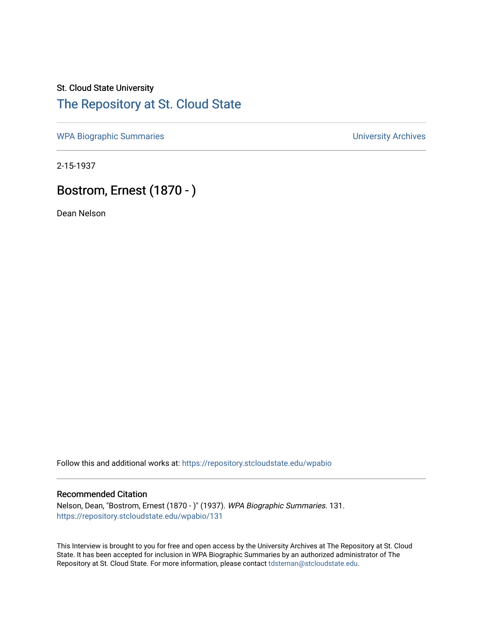## St. Cloud State University [The Repository at St. Cloud State](https://repository.stcloudstate.edu/)

[WPA Biographic Summaries](https://repository.stcloudstate.edu/wpabio) **WPA Biographic Summaries University Archives** 

2-15-1937

# Bostrom, Ernest (1870 - )

Dean Nelson

Follow this and additional works at: [https://repository.stcloudstate.edu/wpabio](https://repository.stcloudstate.edu/wpabio?utm_source=repository.stcloudstate.edu%2Fwpabio%2F131&utm_medium=PDF&utm_campaign=PDFCoverPages) 

#### Recommended Citation

Nelson, Dean, "Bostrom, Ernest (1870 - )" (1937). WPA Biographic Summaries. 131. [https://repository.stcloudstate.edu/wpabio/131](https://repository.stcloudstate.edu/wpabio/131?utm_source=repository.stcloudstate.edu%2Fwpabio%2F131&utm_medium=PDF&utm_campaign=PDFCoverPages) 

This Interview is brought to you for free and open access by the University Archives at The Repository at St. Cloud State. It has been accepted for inclusion in WPA Biographic Summaries by an authorized administrator of The Repository at St. Cloud State. For more information, please contact [tdsteman@stcloudstate.edu.](mailto:tdsteman@stcloudstate.edu)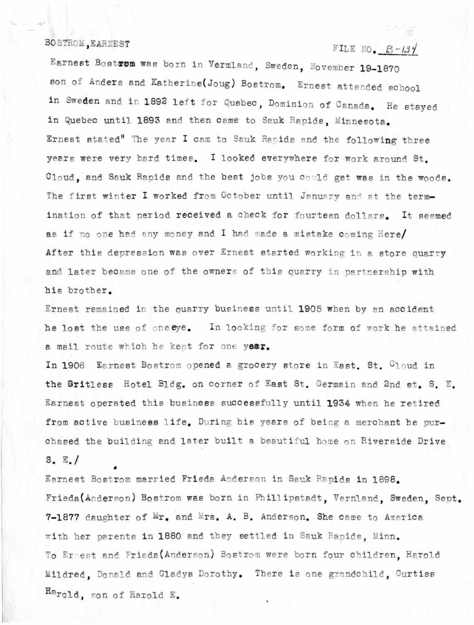#### BOSTROM, EARNEST

### FILE NO.  $B-134$

Earnest Bostrom was born in Vermland, Sweden, November 19-1870 son of Anders and Katherine(Joug) Bostrom. Ernest attended school in Sweden and in 1892 left for Quebec, Dominion of Canada. He stayed in Quebec until 1893 and then came to Sauk Rapids, Minnesota. Ernest stated" The year I cam to Sauk Rapids and the following three years were very hard times. I looked everywhere for work around St. Cloud, and Sauk Rapids and the best jobs you could get was in the woods. The first winter I worked from October until January and at the termination of that period received a check for fourteen dollars. It seemed as if no one had any money and I had made a mistake coming Here/ After this depression was over Ernest started working in a store quarry and later became one of the owners of this quarry in partnership with his brother.

Ernest remained in the quarry business until 1905 when by an accident he lost the use of oneeye. In looking for some form of work he attained a mail route which he kept for one year.

In 1906 Earnest Bostrom opened a grocery store in East. St. Cloud in the Gritless Hotel Bldg. on corner of East St. Germain and 2nd st. S. E. Earnest operated this business successfully until 1934 when he retired from active business life. During his years of being a merchant he purchased the building and later built a beautiful home on Riverside Drive  $S, E, /$ 

Earnest Bostrom married Frieda Anderson in Sauk Rapids in 1898. Frieda (Anderson) Bostrom was born in Phillipstadt, Vernland, Sweden, Sept. 7-1877 daughter of Mr. and Mrs. A. B. Anderson. She came to America with her parents in 1880 and they settled in Sauk Rapids. Minn. To Ernest and Frieda (Anderson) Bostrom were born four children, Harold Mildred, Donald and Gladys Dorothy. There is one grandchild, Curtiss Harold, son of Harold E.